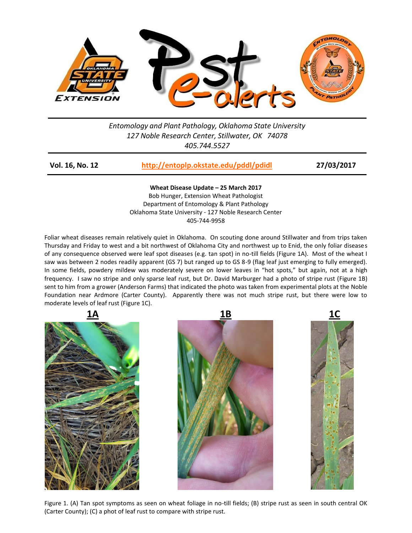

## *Entomology and Plant Pathology, Oklahoma State University 127 Noble Research Center, Stillwater, OK 74078 405.744.5527*

| Vol. 16, No. 12 | http://entoplp.okstate.edu/pddl/pdidl | 27/03/2017 |
|-----------------|---------------------------------------|------------|
|-----------------|---------------------------------------|------------|

**Wheat Disease Update – 25 March 2017** Bob Hunger, Extension Wheat Pathologist Department of Entomology & Plant Pathology Oklahoma State University - 127 Noble Research Center 405-744-9958

Foliar wheat diseases remain relatively quiet in Oklahoma. On scouting done around Stillwater and from trips taken Thursday and Friday to west and a bit northwest of Oklahoma City and northwest up to Enid, the only foliar diseases of any consequence observed were leaf spot diseases (e.g. tan spot) in no-till fields (Figure 1A). Most of the wheat I saw was between 2 nodes readily apparent (GS 7) but ranged up to GS 8-9 (flag leaf just emerging to fully emerged). In some fields, powdery mildew was moderately severe on lower leaves in "hot spots," but again, not at a high frequency. I saw no stripe and only sparse leaf rust, but Dr. David Marburger had a photo of stripe rust (Figure 1B) sent to him from a grower (Anderson Farms) that indicated the photo was taken from experimental plots at the Noble Foundation near Ardmore (Carter County). Apparently there was not much stripe rust, but there were low to moderate levels of leaf rust (Figure 1C).







Figure 1. (A) Tan spot symptoms as seen on wheat foliage in no-till fields; (B) stripe rust as seen in south central OK (Carter County); (C) a phot of leaf rust to compare with stripe rust.